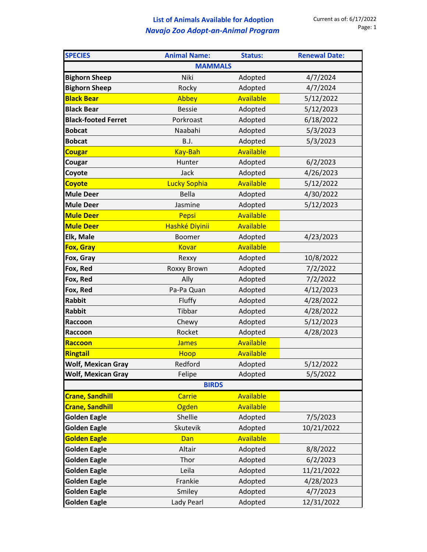## **List of Animals Available for Adoption** *Navajo Zoo Adopt-an-Animal Program*

| <b>SPECIES</b>             | <b>Animal Name:</b> | <b>Status:</b>   | <b>Renewal Date:</b> |  |  |
|----------------------------|---------------------|------------------|----------------------|--|--|
|                            | <b>MAMMALS</b>      |                  |                      |  |  |
| <b>Bighorn Sheep</b>       | Niki                | Adopted          | 4/7/2024             |  |  |
| <b>Bighorn Sheep</b>       | Rocky               | Adopted          | 4/7/2024             |  |  |
| <b>Black Bear</b>          | Abbey               | <b>Available</b> | 5/12/2022            |  |  |
| <b>Black Bear</b>          | <b>Bessie</b>       | Adopted          | 5/12/2023            |  |  |
| <b>Black-footed Ferret</b> | Porkroast           | Adopted          | 6/18/2022            |  |  |
| <b>Bobcat</b>              | Naabahi             | Adopted          | 5/3/2023             |  |  |
| <b>Bobcat</b>              | <b>B.J.</b>         | Adopted          | 5/3/2023             |  |  |
| <b>Cougar</b>              | Kay-Bah             | <b>Available</b> |                      |  |  |
| Cougar                     | Hunter              | Adopted          | 6/2/2023             |  |  |
| Coyote                     | Jack                | Adopted          | 4/26/2023            |  |  |
| <b>Coyote</b>              | <b>Lucky Sophia</b> | Available        | 5/12/2022            |  |  |
| <b>Mule Deer</b>           | <b>Bella</b>        | Adopted          | 4/30/2022            |  |  |
| <b>Mule Deer</b>           | Jasmine             | Adopted          | 5/12/2023            |  |  |
| <b>Mule Deer</b>           | Pepsi               | <b>Available</b> |                      |  |  |
| <b>Mule Deer</b>           | Hashké Diyinii      | Available        |                      |  |  |
| Elk, Male                  | <b>Boomer</b>       | Adopted          | 4/23/2023            |  |  |
| Fox, Gray                  | Kovar               | Available        |                      |  |  |
| Fox, Gray                  | Rexxy               | Adopted          | 10/8/2022            |  |  |
| Fox, Red                   | Roxxy Brown         | Adopted          | 7/2/2022             |  |  |
| Fox, Red                   | Ally                | Adopted          | 7/2/2022             |  |  |
| Fox, Red                   | Pa-Pa Quan          | Adopted          | 4/12/2023            |  |  |
| <b>Rabbit</b>              | Fluffy              | Adopted          | 4/28/2022            |  |  |
| <b>Rabbit</b>              | Tibbar              | Adopted          | 4/28/2022            |  |  |
| Raccoon                    | Chewy               | Adopted          | 5/12/2023            |  |  |
| Raccoon                    | Rocket              | Adopted          | 4/28/2023            |  |  |
| Raccoon                    | <b>James</b>        | Available        |                      |  |  |
| <b>Ringtail</b>            | Hoop                | <b>Available</b> |                      |  |  |
| <b>Wolf, Mexican Gray</b>  | Redford             | Adopted          | 5/12/2022            |  |  |
| <b>Wolf, Mexican Gray</b>  | Felipe              | Adopted          | 5/5/2022             |  |  |
| <b>BIRDS</b>               |                     |                  |                      |  |  |
| <b>Crane, Sandhill</b>     | <b>Carrie</b>       | Available        |                      |  |  |
| <b>Crane, Sandhill</b>     | Ogden               | Available        |                      |  |  |
| <b>Golden Eagle</b>        | Shellie             | Adopted          | 7/5/2023             |  |  |
| <b>Golden Eagle</b>        | Skutevik            | Adopted          | 10/21/2022           |  |  |
| <b>Golden Eagle</b>        | Dan                 | Available        |                      |  |  |
| <b>Golden Eagle</b>        | Altair              | Adopted          | 8/8/2022             |  |  |
| <b>Golden Eagle</b>        | Thor                | Adopted          | 6/2/2023             |  |  |
| <b>Golden Eagle</b>        | Leila               | Adopted          | 11/21/2022           |  |  |
| <b>Golden Eagle</b>        | Frankie             | Adopted          | 4/28/2023            |  |  |
| <b>Golden Eagle</b>        | Smiley              | Adopted          | 4/7/2023             |  |  |
| <b>Golden Eagle</b>        | Lady Pearl          | Adopted          | 12/31/2022           |  |  |